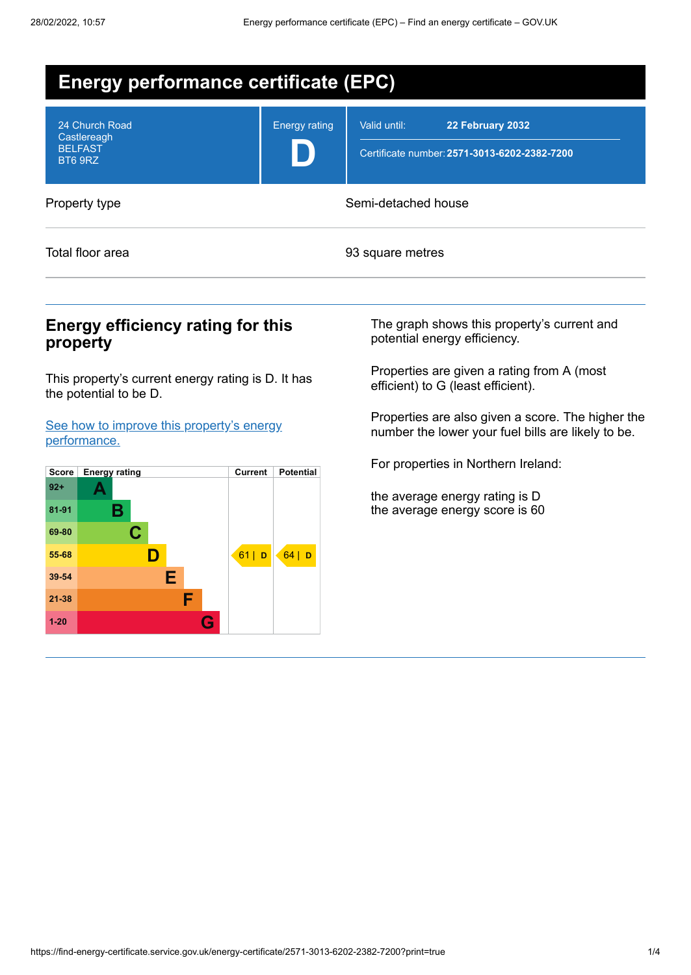| <b>Energy performance certificate (EPC)</b>                |                      |                                                                                  |  |  |
|------------------------------------------------------------|----------------------|----------------------------------------------------------------------------------|--|--|
| 24 Church Road<br>Castlereagh<br><b>BELFAST</b><br>BT6 9RZ | <b>Energy rating</b> | Valid until:<br>22 February 2032<br>Certificate number: 2571-3013-6202-2382-7200 |  |  |
| Property type                                              | Semi-detached house  |                                                                                  |  |  |
| Total floor area                                           |                      | 93 square metres                                                                 |  |  |

## **Energy efficiency rating for this property**

This property's current energy rating is D. It has the potential to be D.

See how to improve this property's energy [performance.](#page-2-0)



The graph shows this property's current and potential energy efficiency.

Properties are given a rating from A (most efficient) to G (least efficient).

Properties are also given a score. The higher the number the lower your fuel bills are likely to be.

For properties in Northern Ireland:

the average energy rating is D the average energy score is 60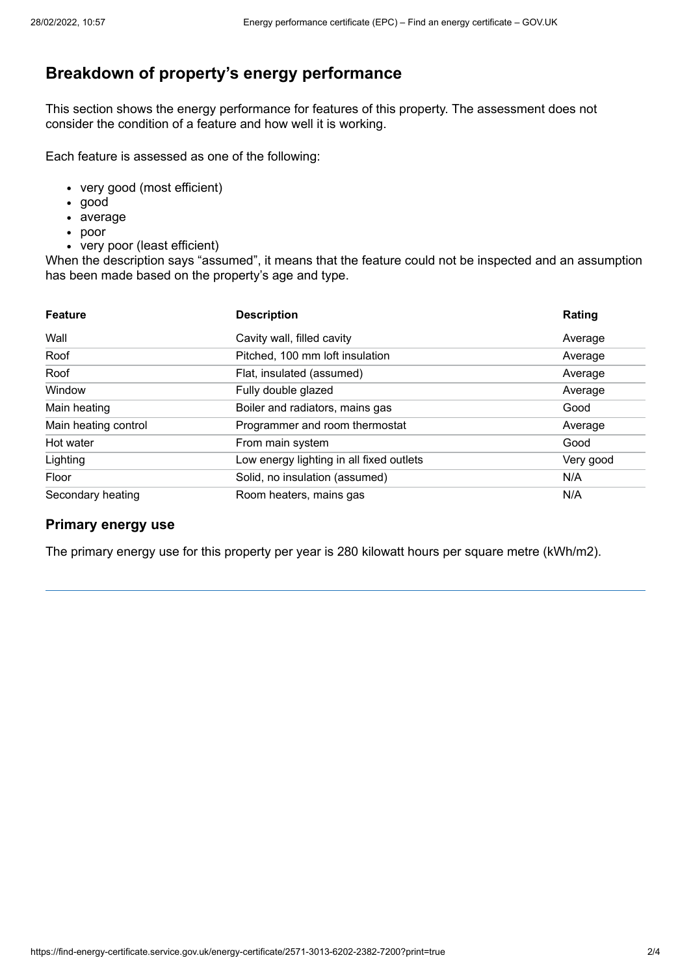# **Breakdown of property's energy performance**

This section shows the energy performance for features of this property. The assessment does not consider the condition of a feature and how well it is working.

Each feature is assessed as one of the following:

- very good (most efficient)
- good
- average
- poor
- very poor (least efficient)

When the description says "assumed", it means that the feature could not be inspected and an assumption has been made based on the property's age and type.

| <b>Feature</b>       | <b>Description</b>                       | Rating    |
|----------------------|------------------------------------------|-----------|
| Wall                 | Cavity wall, filled cavity               | Average   |
| Roof                 | Pitched, 100 mm loft insulation          | Average   |
| Roof                 | Flat, insulated (assumed)                | Average   |
| Window               | Fully double glazed                      | Average   |
| Main heating         | Boiler and radiators, mains gas          | Good      |
| Main heating control | Programmer and room thermostat           | Average   |
| Hot water            | From main system                         | Good      |
| Lighting             | Low energy lighting in all fixed outlets | Very good |
| Floor                | Solid, no insulation (assumed)           | N/A       |
| Secondary heating    | Room heaters, mains gas                  | N/A       |

### **Primary energy use**

The primary energy use for this property per year is 280 kilowatt hours per square metre (kWh/m2).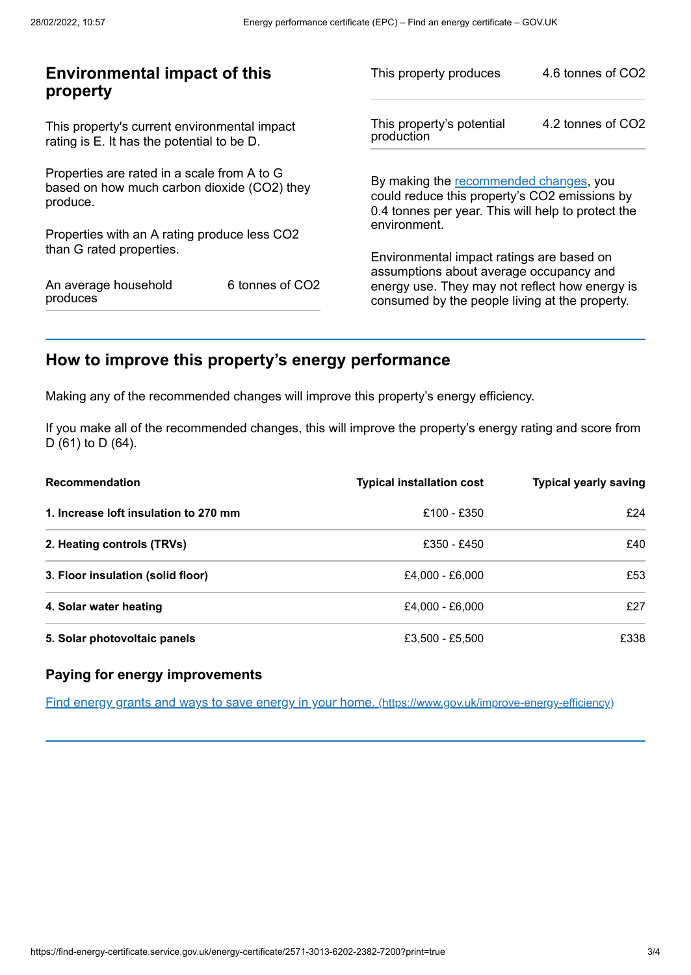| <b>Environmental impact of this</b><br>property                                                        |                 | This property produces                                                                                                                        | 4.6 tonnes of CO2 |
|--------------------------------------------------------------------------------------------------------|-----------------|-----------------------------------------------------------------------------------------------------------------------------------------------|-------------------|
| This property's current environmental impact<br>rating is E. It has the potential to be D.             |                 | This property's potential<br>production                                                                                                       | 4.2 tonnes of CO2 |
| Properties are rated in a scale from A to G<br>based on how much carbon dioxide (CO2) they<br>produce. |                 | By making the recommended changes, you<br>could reduce this property's CO2 emissions by<br>0.4 tonnes per year. This will help to protect the |                   |
| Properties with an A rating produce less CO2                                                           |                 | environment.                                                                                                                                  |                   |
| than G rated properties.                                                                               |                 | Environmental impact ratings are based on<br>assumptions about average occupancy and                                                          |                   |
| An average household<br>produces                                                                       | 6 tonnes of CO2 | energy use. They may not reflect how energy is<br>consumed by the people living at the property.                                              |                   |
|                                                                                                        |                 |                                                                                                                                               |                   |

# <span id="page-2-0"></span>**How to improve this property's energy performance**

Making any of the recommended changes will improve this property's energy efficiency.

If you make all of the recommended changes, this will improve the property's energy rating and score from D (61) to D (64).

| <b>Recommendation</b>                 | <b>Typical installation cost</b> | <b>Typical yearly saving</b> |
|---------------------------------------|----------------------------------|------------------------------|
| 1. Increase loft insulation to 270 mm | £100 - £350                      | f24                          |
| 2. Heating controls (TRVs)            | £350 - £450                      | £40                          |
| 3. Floor insulation (solid floor)     | £4.000 - £6.000                  | £53                          |
| 4. Solar water heating                | £4,000 - £6,000                  | £27                          |
| 5. Solar photovoltaic panels          | £3,500 - £5,500                  | £338                         |

### **Paying for energy improvements**

Find energy grants and ways to save energy in your home. [\(https://www.gov.uk/improve-energy-efficiency\)](https://www.gov.uk/improve-energy-efficiency)